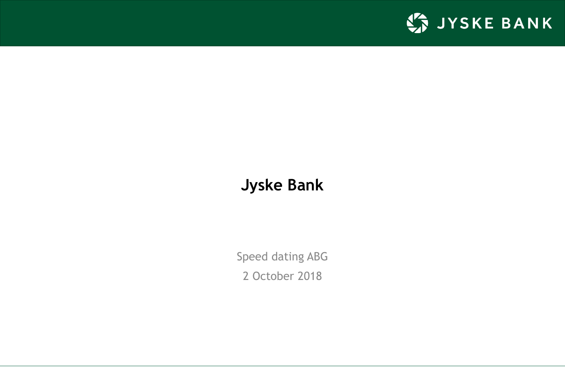

## **Jyske Bank**

Speed dating ABG 2 October 2018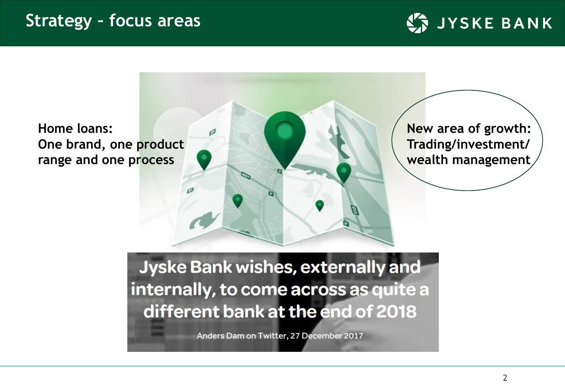



Anders Dam on Twitter, 27 December 2017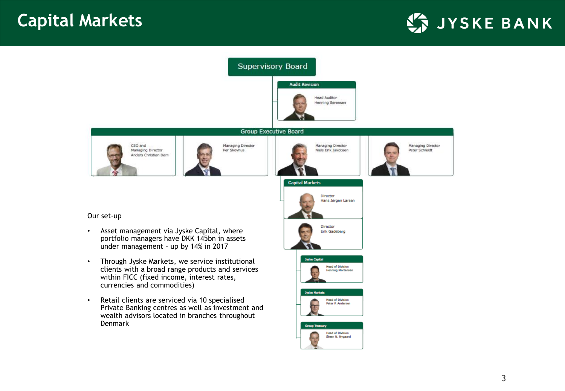



#### Our set-up

- Asset management via Jyske Capital, where portfolio managers have DKK 145bn in assets under management – up by 14% in 2017
- Through Jyske Markets, we service institutional clients with a broad range products and services within FICC (fixed income, interest rates, currencies and commodities)
- Retail clients are serviced via 10 specialised Private Banking centres as well as investment and wealth advisors located in branches throughout Denmark









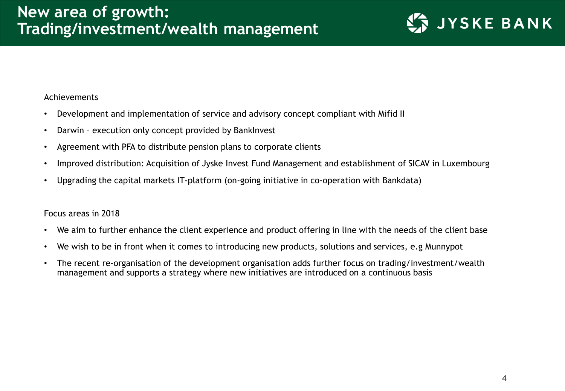#### Achievements

- Development and implementation of service and advisory concept compliant with Mifid II
- Darwin execution only concept provided by BankInvest
- Agreement with PFA to distribute pension plans to corporate clients
- Improved distribution: Acquisition of Jyske Invest Fund Management and establishment of SICAV in Luxembourg
- Upgrading the capital markets IT-platform (on-going initiative in co-operation with Bankdata)

### Focus areas in 2018

- We aim to further enhance the client experience and product offering in line with the needs of the client base
- We wish to be in front when it comes to introducing new products, solutions and services, e.g Munnypot
- The recent re-organisation of the development organisation adds further focus on trading/investment/wealth management and supports a strategy where new initiatives are introduced on a continuous basis

**JYSKE BANK**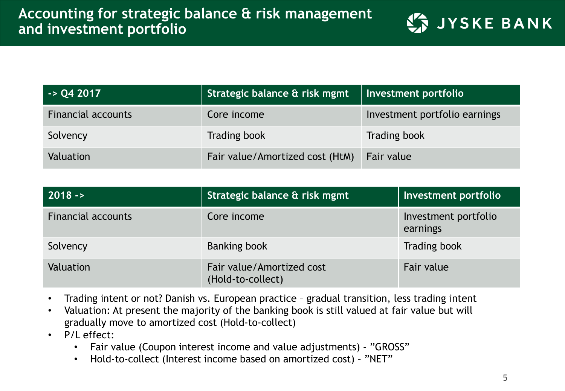|  |  | <b>LA JYSKE BANI</b> |  |
|--|--|----------------------|--|
|  |  |                      |  |

| $-$ > Q4 2017             | Strategic balance & risk mgmt   | Investment portfolio          |
|---------------------------|---------------------------------|-------------------------------|
| <b>Financial accounts</b> | Core income                     | Investment portfolio earnings |
| Solvency                  | Trading book                    | <b>Trading book</b>           |
| <b>Valuation</b>          | Fair value/Amortized cost (HtM) | Fair value                    |

| $ 2018 - \rangle$         | Strategic balance & risk mgmt                  | Investment portfolio             |
|---------------------------|------------------------------------------------|----------------------------------|
| <b>Financial accounts</b> | Core income                                    | Investment portfolio<br>earnings |
| Solvency                  | <b>Banking book</b>                            | <b>Trading book</b>              |
| Valuation                 | Fair value/Amortized cost<br>(Hold-to-collect) | Fair value                       |

- Trading intent or not? Danish vs. European practice gradual transition, less trading intent
- Valuation: At present the majority of the banking book is still valued at fair value but will gradually move to amortized cost (Hold-to-collect)
- P/L effect:
	- Fair value (Coupon interest income and value adjustments) "GROSS"
	- Hold-to-collect (Interest income based on amortized cost) "NET"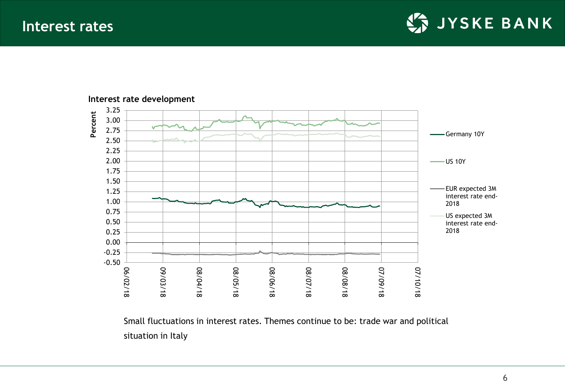**Interest rates**

JYSKE BANK



#### **Interest rate development**

Small fluctuations in interest rates. Themes continue to be: trade war and political situation in Italy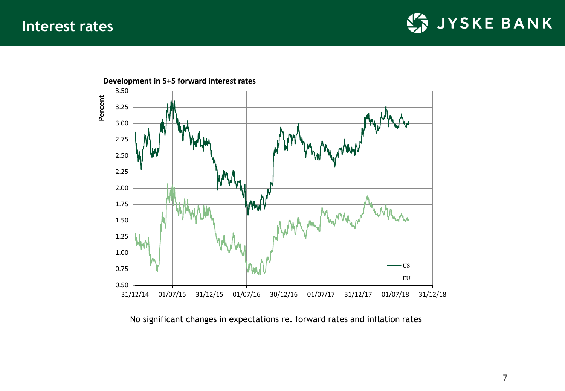



No significant changes in expectations re. forward rates and inflation rates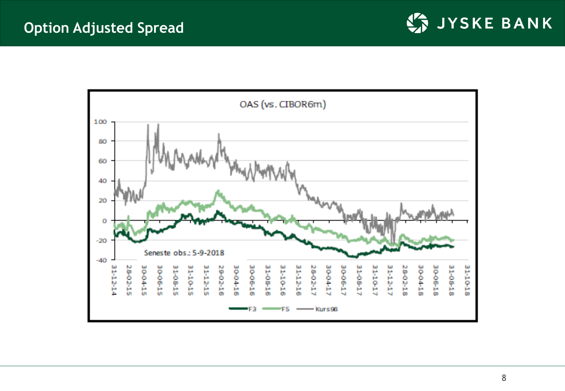



8